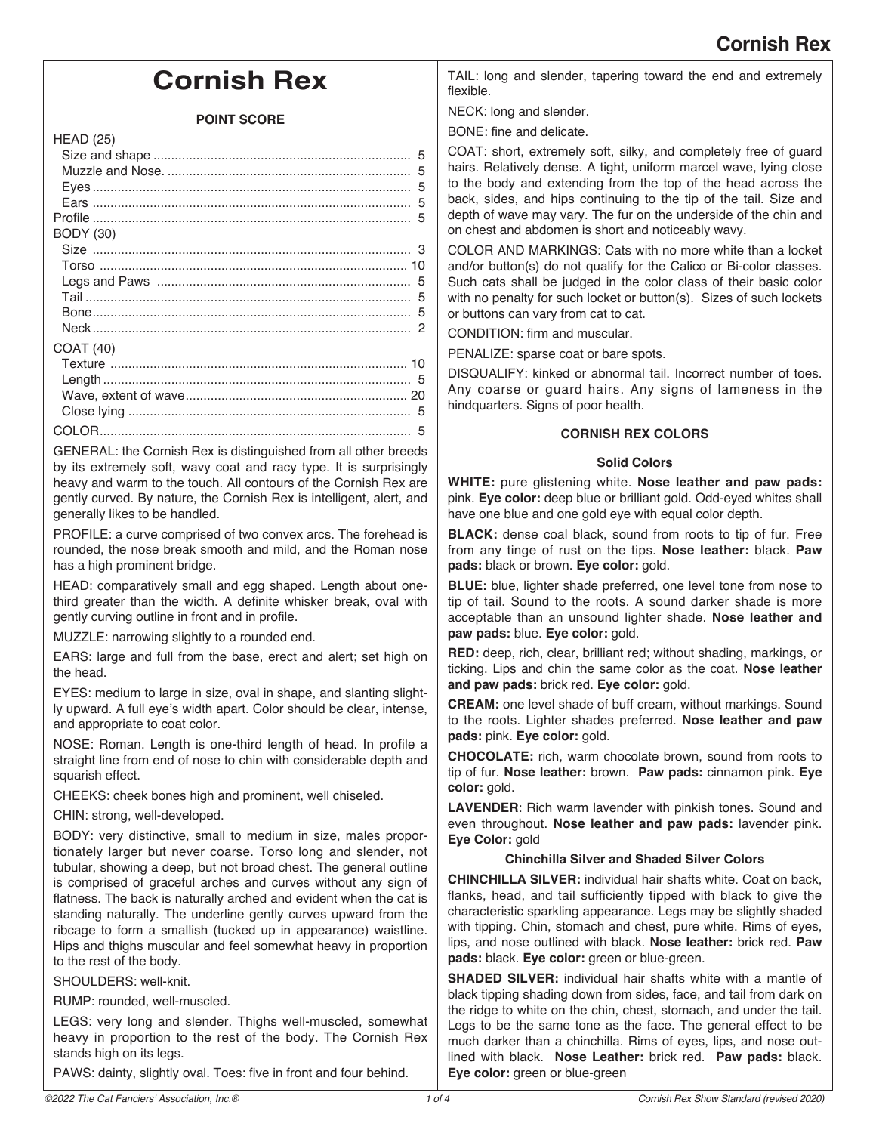# **Cornish Rex**

# **POINT SCORE**

| <b>HEAD (25)</b> | 5 |
|------------------|---|
| <b>BODY (30)</b> |   |
| <b>COAT (40)</b> | 5 |
| .                |   |

GENERAL: the Cornish Rex is distinguished from all other breeds by its extremely soft, wavy coat and racy type. It is surprisingly heavy and warm to the touch. All contours of the Cornish Rex are gently curved. By nature, the Cornish Rex is intelligent, alert, and generally likes to be handled.

PROFILE: a curve comprised of two convex arcs. The forehead is rounded, the nose break smooth and mild, and the Roman nose has a high prominent bridge.

HEAD: comparatively small and egg shaped. Length about onethird greater than the width. A definite whisker break, oval with gently curving outline in front and in profile.

MUZZLE: narrowing slightly to a rounded end.

EARS: large and full from the base, erect and alert; set high on the head.

EYES: medium to large in size, oval in shape, and slanting slightly upward. A full eye's width apart. Color should be clear, intense, and appropriate to coat color.

NOSE: Roman. Length is one-third length of head. In profile a straight line from end of nose to chin with considerable depth and squarish effect.

CHEEKS: cheek bones high and prominent, well chiseled.

CHIN: strong, well-developed.

BODY: very distinctive, small to medium in size, males proportionately larger but never coarse. Torso long and slender, not tubular, showing a deep, but not broad chest. The general outline is comprised of graceful arches and curves without any sign of flatness. The back is naturally arched and evident when the cat is standing naturally. The underline gently curves upward from the ribcage to form a smallish (tucked up in appearance) waistline. Hips and thighs muscular and feel somewhat heavy in proportion to the rest of the body.

SHOULDERS: well-knit.

RUMP: rounded, well-muscled.

LEGS: very long and slender. Thighs well-muscled, somewhat heavy in proportion to the rest of the body. The Cornish Rex stands high on its legs.

PAWS: dainty, slightly oval. Toes: five in front and four behind.

TAIL: long and slender, tapering toward the end and extremely flexible.

NECK: long and slender.

BONE: fine and delicate.

COAT: short, extremely soft, silky, and completely free of guard hairs. Relatively dense. A tight, uniform marcel wave, lying close to the body and extending from the top of the head across the back, sides, and hips continuing to the tip of the tail. Size and depth of wave may vary. The fur on the underside of the chin and on chest and abdomen is short and noticeably wavy.

COLOR AND MARKINGS: Cats with no more white than a locket and/or button(s) do not qualify for the Calico or Bi-color classes. Such cats shall be judged in the color class of their basic color with no penalty for such locket or button(s). Sizes of such lockets or buttons can vary from cat to cat.

CONDITION: firm and muscular.

PENALIZE: sparse coat or bare spots.

DISQUALIFY: kinked or abnormal tail. Incorrect number of toes. Any coarse or guard hairs. Any signs of lameness in the hindquarters. Signs of poor health.

# **CORNISH REX COLORS**

### **Solid Colors**

**WHITE:** pure glistening white. **Nose leather and paw pads:** pink. **Eye color:** deep blue or brilliant gold. Odd-eyed whites shall have one blue and one gold eye with equal color depth.

**BLACK:** dense coal black, sound from roots to tip of fur. Free from any tinge of rust on the tips. **Nose leather:** black. **Paw pads:** black or brown. **Eye color:** gold.

**BLUE:** blue, lighter shade preferred, one level tone from nose to tip of tail. Sound to the roots. A sound darker shade is more acceptable than an unsound lighter shade. **Nose leather and paw pads:** blue. **Eye color:** gold.

**RED:** deep, rich, clear, brilliant red; without shading, markings, or ticking. Lips and chin the same color as the coat. **Nose leather and paw pads:** brick red. **Eye color:** gold.

**CREAM:** one level shade of buff cream, without markings. Sound to the roots. Lighter shades preferred. **Nose leather and paw pads:** pink. **Eye color:** gold.

**CHOCOLATE:** rich, warm chocolate brown, sound from roots to tip of fur. **Nose leather:** brown. **Paw pads:** cinnamon pink. **Eye color:** gold.

**LAVENDER**: Rich warm lavender with pinkish tones. Sound and even throughout. **Nose leather and paw pads:** lavender pink. **Eye Color:** gold

# **Chinchilla Silver and Shaded Silver Colors**

**CHINCHILLA SILVER:** individual hair shafts white. Coat on back, flanks, head, and tail sufficiently tipped with black to give the characteristic sparkling appearance. Legs may be slightly shaded with tipping. Chin, stomach and chest, pure white. Rims of eyes, lips, and nose outlined with black. **Nose leather:** brick red. **Paw pads:** black. **Eye color:** green or blue-green.

**SHADED SILVER:** individual hair shafts white with a mantle of black tipping shading down from sides, face, and tail from dark on the ridge to white on the chin, chest, stomach, and under the tail. Legs to be the same tone as the face. The general effect to be much darker than a chinchilla. Rims of eyes, lips, and nose outlined with black. **Nose Leather:** brick red. **Paw pads:** black. **Eye color:** green or blue-green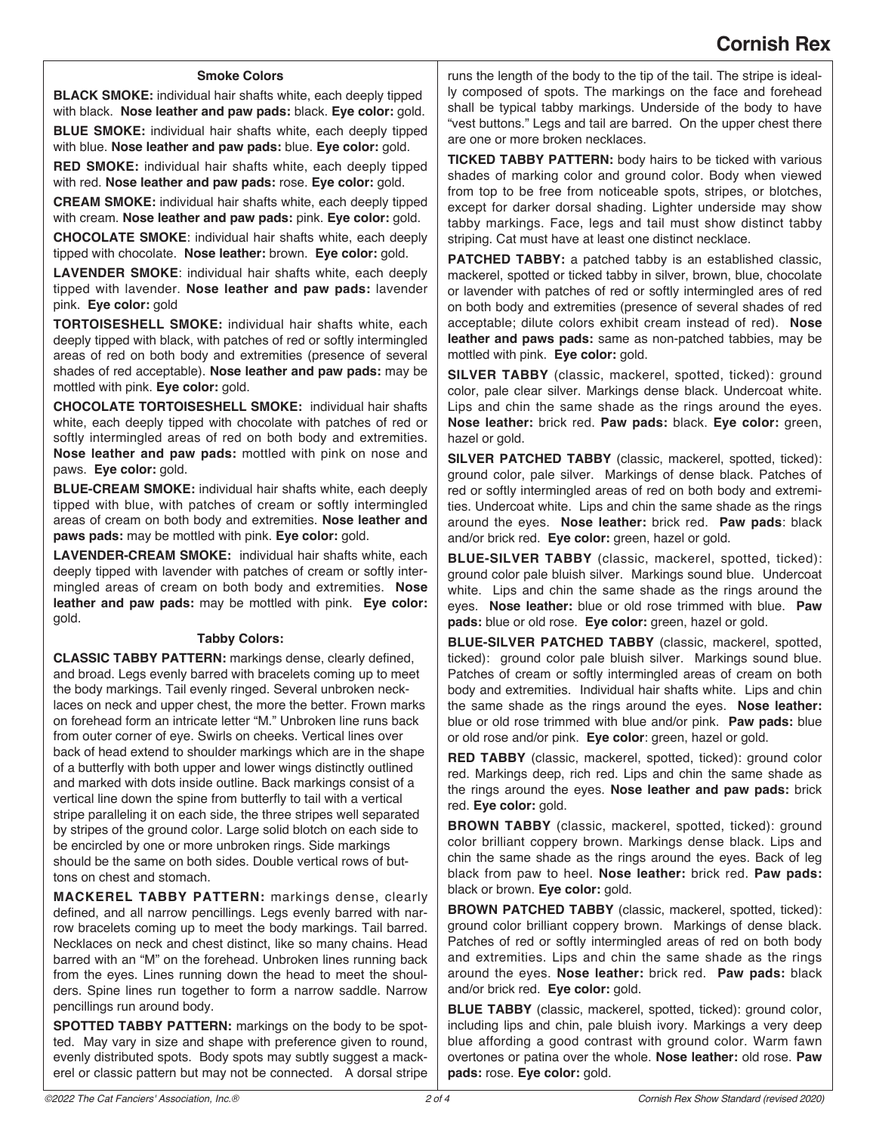#### **Smoke Colors**

**BLACK SMOKE:** individual hair shafts white, each deeply tipped with black. **Nose leather and paw pads:** black. **Eye color:** gold. **BLUE SMOKE:** individual hair shafts white, each deeply tipped

with blue. **Nose leather and paw pads:** blue. **Eye color:** gold.

**RED SMOKE:** individual hair shafts white, each deeply tipped with red. **Nose leather and paw pads:** rose. **Eye color:** gold.

**CREAM SMOKE:** individual hair shafts white, each deeply tipped with cream. **Nose leather and paw pads:** pink. **Eye color:** gold.

**CHOCOLATE SMOKE**: individual hair shafts white, each deeply tipped with chocolate. **Nose leather:** brown. **Eye color:** gold.

**LAVENDER SMOKE**: individual hair shafts white, each deeply tipped with lavender. **Nose leather and paw pads:** lavender pink. **Eye color:** gold

**TORTOISESHELL SMOKE:** individual hair shafts white, each deeply tipped with black, with patches of red or softly intermingled areas of red on both body and extremities (presence of several shades of red acceptable). **Nose leather and paw pads:** may be mottled with pink. **Eye color:** gold.

**CHOCOLATE TORTOISESHELL SMOKE:** individual hair shafts white, each deeply tipped with chocolate with patches of red or softly intermingled areas of red on both body and extremities. **Nose leather and paw pads:** mottled with pink on nose and paws. **Eye color:** gold.

**BLUE-CREAM SMOKE:** individual hair shafts white, each deeply tipped with blue, with patches of cream or softly intermingled areas of cream on both body and extremities. **Nose leather and paws pads:** may be mottled with pink. **Eye color:** gold.

**LAVENDER-CREAM SMOKE:** individual hair shafts white, each deeply tipped with lavender with patches of cream or softly intermingled areas of cream on both body and extremities. **Nose leather and paw pads:** may be mottled with pink. **Eye color:**  gold.

#### **Tabby Colors:**

**CLASSIC TABBY PATTERN:** markings dense, clearly defined, and broad. Legs evenly barred with bracelets coming up to meet the body markings. Tail evenly ringed. Several unbroken necklaces on neck and upper chest, the more the better. Frown marks on forehead form an intricate letter "M." Unbroken line runs back from outer corner of eye. Swirls on cheeks. Vertical lines over back of head extend to shoulder markings which are in the shape of a butterfly with both upper and lower wings distinctly outlined and marked with dots inside outline. Back markings consist of a vertical line down the spine from butterfly to tail with a vertical stripe paralleling it on each side, the three stripes well separated by stripes of the ground color. Large solid blotch on each side to be encircled by one or more unbroken rings. Side markings should be the same on both sides. Double vertical rows of buttons on chest and stomach.

**MACKEREL TABBY PATTERN:** markings dense, clearly defined, and all narrow pencillings. Legs evenly barred with narrow bracelets coming up to meet the body markings. Tail barred. Necklaces on neck and chest distinct, like so many chains. Head barred with an "M" on the forehead. Unbroken lines running back from the eyes. Lines running down the head to meet the shoulders. Spine lines run together to form a narrow saddle. Narrow pencillings run around body.

**SPOTTED TABBY PATTERN:** markings on the body to be spotted. May vary in size and shape with preference given to round, evenly distributed spots. Body spots may subtly suggest a mackerel or classic pattern but may not be connected. A dorsal stripe runs the length of the body to the tip of the tail. The stripe is ideally composed of spots. The markings on the face and forehead shall be typical tabby markings. Underside of the body to have "vest buttons." Legs and tail are barred. On the upper chest there are one or more broken necklaces.

**TICKED TABBY PATTERN:** body hairs to be ticked with various shades of marking color and ground color. Body when viewed from top to be free from noticeable spots, stripes, or blotches, except for darker dorsal shading. Lighter underside may show tabby markings. Face, legs and tail must show distinct tabby striping. Cat must have at least one distinct necklace.

**PATCHED TABBY:** a patched tabby is an established classic, mackerel, spotted or ticked tabby in silver, brown, blue, chocolate or lavender with patches of red or softly intermingled ares of red on both body and extremities (presence of several shades of red acceptable; dilute colors exhibit cream instead of red). **Nose leather and paws pads:** same as non-patched tabbies, may be mottled with pink. **Eye color:** gold.

**SILVER TABBY** (classic, mackerel, spotted, ticked): ground color, pale clear silver. Markings dense black. Undercoat white. Lips and chin the same shade as the rings around the eyes. **Nose leather:** brick red. **Paw pads:** black. **Eye color:** green, hazel or gold.

**SILVER PATCHED TABBY** (classic, mackerel, spotted, ticked): ground color, pale silver. Markings of dense black. Patches of red or softly intermingled areas of red on both body and extremities. Undercoat white. Lips and chin the same shade as the rings around the eyes. **Nose leather:** brick red. **Paw pads**: black and/or brick red. **Eye color:** green, hazel or gold.

**BLUE-SILVER TABBY** (classic, mackerel, spotted, ticked): ground color pale bluish silver. Markings sound blue. Undercoat white. Lips and chin the same shade as the rings around the eyes. **Nose leather:** blue or old rose trimmed with blue. **Paw pads:** blue or old rose. **Eye color:** green, hazel or gold.

**BLUE-SILVER PATCHED TABBY** (classic, mackerel, spotted, ticked): ground color pale bluish silver. Markings sound blue. Patches of cream or softly intermingled areas of cream on both body and extremities. Individual hair shafts white. Lips and chin the same shade as the rings around the eyes. **Nose leather:** blue or old rose trimmed with blue and/or pink. **Paw pads:** blue or old rose and/or pink. **Eye color**: green, hazel or gold.

**RED TABBY** (classic, mackerel, spotted, ticked): ground color red. Markings deep, rich red. Lips and chin the same shade as the rings around the eyes. **Nose leather and paw pads:** brick red. **Eye color:** gold.

**BROWN TABBY** (classic, mackerel, spotted, ticked): ground color brilliant coppery brown. Markings dense black. Lips and chin the same shade as the rings around the eyes. Back of leg black from paw to heel. **Nose leather:** brick red. **Paw pads:** black or brown. **Eye color:** gold.

**BROWN PATCHED TABBY** (classic, mackerel, spotted, ticked): ground color brilliant coppery brown. Markings of dense black. Patches of red or softly intermingled areas of red on both body and extremities. Lips and chin the same shade as the rings around the eyes. **Nose leather:** brick red. **Paw pads:** black and/or brick red. **Eye color:** gold.

**BLUE TABBY** (classic, mackerel, spotted, ticked): ground color, including lips and chin, pale bluish ivory. Markings a very deep blue affording a good contrast with ground color. Warm fawn overtones or patina over the whole. **Nose leather:** old rose. **Paw pads:** rose. **Eye color:** gold.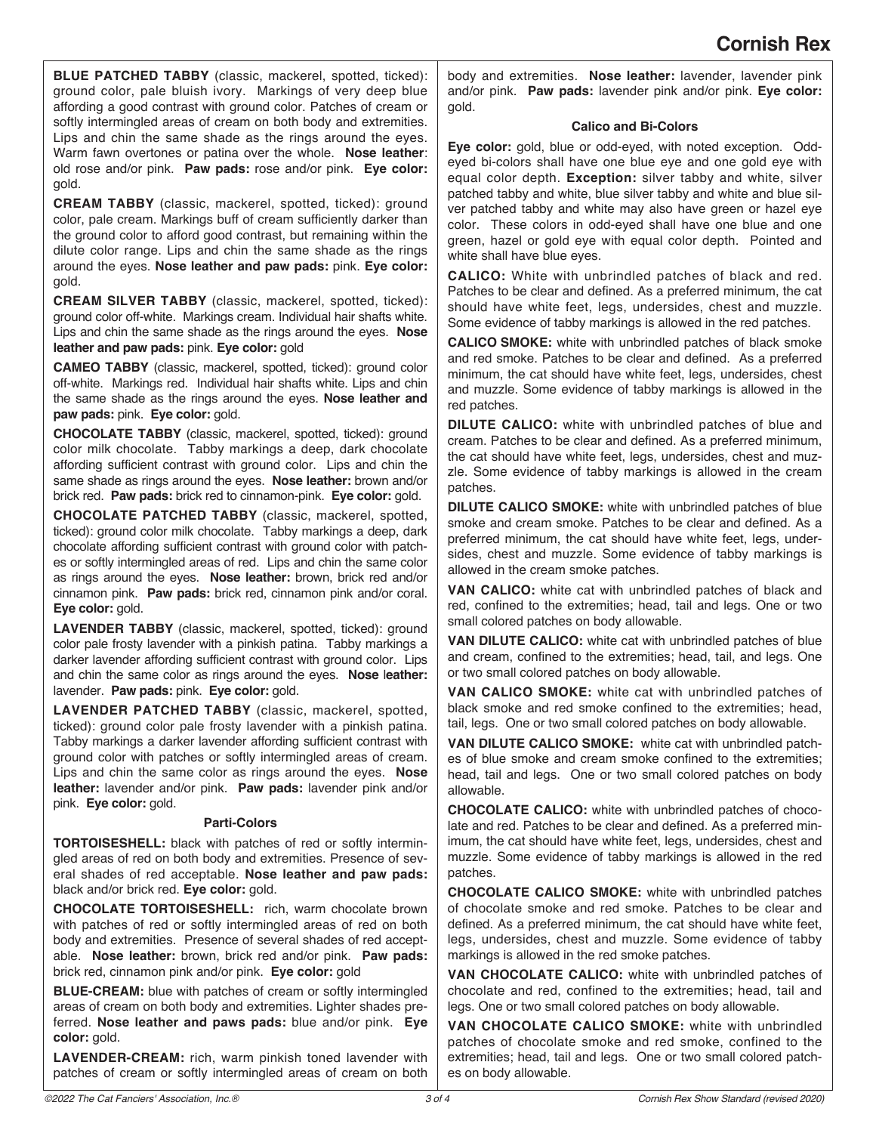**BLUE PATCHED TABBY** (classic, mackerel, spotted, ticked): ground color, pale bluish ivory. Markings of very deep blue affording a good contrast with ground color. Patches of cream or softly intermingled areas of cream on both body and extremities. Lips and chin the same shade as the rings around the eyes. Warm fawn overtones or patina over the whole. **Nose leather**: old rose and/or pink. **Paw pads:** rose and/or pink. **Eye color:** gold.

**CREAM TABBY** (classic, mackerel, spotted, ticked): ground color, pale cream. Markings buff of cream sufficiently darker than the ground color to afford good contrast, but remaining within the dilute color range. Lips and chin the same shade as the rings around the eyes. **Nose leather and paw pads:** pink. **Eye color:** gold.

**CREAM SILVER TABBY** (classic, mackerel, spotted, ticked): ground color off-white. Markings cream. Individual hair shafts white. Lips and chin the same shade as the rings around the eyes. **Nose leather and paw pads:** pink. **Eye color:** gold

**CAMEO TABBY** (classic, mackerel, spotted, ticked): ground color off-white. Markings red. Individual hair shafts white. Lips and chin the same shade as the rings around the eyes. **Nose leather and paw pads:** pink. **Eye color:** gold.

**CHOCOLATE TABBY** (classic, mackerel, spotted, ticked): ground color milk chocolate. Tabby markings a deep, dark chocolate affording sufficient contrast with ground color. Lips and chin the same shade as rings around the eyes. **Nose leather:** brown and/or brick red. **Paw pads:** brick red to cinnamon-pink. **Eye color:** gold.

**CHOCOLATE PATCHED TABBY** (classic, mackerel, spotted, ticked): ground color milk chocolate. Tabby markings a deep, dark chocolate affording sufficient contrast with ground color with patches or softly intermingled areas of red. Lips and chin the same color as rings around the eyes. **Nose leather:** brown, brick red and/or cinnamon pink. **Paw pads:** brick red, cinnamon pink and/or coral. **Eye color:** gold.

**LAVENDER TABBY** (classic, mackerel, spotted, ticked): ground color pale frosty lavender with a pinkish patina. Tabby markings a darker lavender affording sufficient contrast with ground color. Lips and chin the same color as rings around the eyes. **Nose** l**eather:** lavender. **Paw pads:** pink. **Eye color:** gold.

**LAVENDER PATCHED TABBY** (classic, mackerel, spotted, ticked): ground color pale frosty lavender with a pinkish patina. Tabby markings a darker lavender affording sufficient contrast with ground color with patches or softly intermingled areas of cream. Lips and chin the same color as rings around the eyes. **Nose leather:** lavender and/or pink. **Paw pads:** lavender pink and/or pink. **Eye color:** gold.

# **Parti-Colors**

**TORTOISESHELL:** black with patches of red or softly intermingled areas of red on both body and extremities. Presence of several shades of red acceptable. **Nose leather and paw pads:**  black and/or brick red. **Eye color:** gold.

**CHOCOLATE TORTOISESHELL:** rich, warm chocolate brown with patches of red or softly intermingled areas of red on both body and extremities. Presence of several shades of red acceptable. **Nose leather:** brown, brick red and/or pink. **Paw pads:** brick red, cinnamon pink and/or pink. **Eye color:** gold

**BLUE-CREAM:** blue with patches of cream or softly intermingled areas of cream on both body and extremities. Lighter shades preferred. **Nose leather and paws pads:** blue and/or pink. **Eye color:** gold.

**LAVENDER-CREAM:** rich, warm pinkish toned lavender with patches of cream or softly intermingled areas of cream on both body and extremities. **Nose leather:** lavender, lavender pink and/or pink. **Paw pads:** lavender pink and/or pink. **Eye color:**  gold.

# **Calico and Bi-Colors**

**Eye color:** gold, blue or odd-eyed, with noted exception. Oddeyed bi-colors shall have one blue eye and one gold eye with equal color depth. **Exception:** silver tabby and white, silver patched tabby and white, blue silver tabby and white and blue silver patched tabby and white may also have green or hazel eye color. These colors in odd-eyed shall have one blue and one green, hazel or gold eye with equal color depth. Pointed and white shall have blue eyes.

**CALICO:** White with unbrindled patches of black and red. Patches to be clear and defined. As a preferred minimum, the cat should have white feet, legs, undersides, chest and muzzle. Some evidence of tabby markings is allowed in the red patches.

**CALICO SMOKE:** white with unbrindled patches of black smoke and red smoke. Patches to be clear and defined. As a preferred minimum, the cat should have white feet, legs, undersides, chest and muzzle. Some evidence of tabby markings is allowed in the red patches.

**DILUTE CALICO:** white with unbrindled patches of blue and cream. Patches to be clear and defined. As a preferred minimum, the cat should have white feet, legs, undersides, chest and muzzle. Some evidence of tabby markings is allowed in the cream patches.

**DILUTE CALICO SMOKE:** white with unbrindled patches of blue smoke and cream smoke. Patches to be clear and defined. As a preferred minimum, the cat should have white feet, legs, undersides, chest and muzzle. Some evidence of tabby markings is allowed in the cream smoke patches.

**VAN CALICO:** white cat with unbrindled patches of black and red, confined to the extremities; head, tail and legs. One or two small colored patches on body allowable.

**VAN DILUTE CALICO:** white cat with unbrindled patches of blue and cream, confined to the extremities; head, tail, and legs. One or two small colored patches on body allowable.

**VAN CALICO SMOKE:** white cat with unbrindled patches of black smoke and red smoke confined to the extremities; head, tail, legs. One or two small colored patches on body allowable.

**VAN DILUTE CALICO SMOKE:** white cat with unbrindled patches of blue smoke and cream smoke confined to the extremities; head, tail and legs. One or two small colored patches on body allowable.

**CHOCOLATE CALICO:** white with unbrindled patches of chocolate and red. Patches to be clear and defined. As a preferred minimum, the cat should have white feet, legs, undersides, chest and muzzle. Some evidence of tabby markings is allowed in the red patches.

**CHOCOLATE CALICO SMOKE:** white with unbrindled patches of chocolate smoke and red smoke. Patches to be clear and defined. As a preferred minimum, the cat should have white feet, legs, undersides, chest and muzzle. Some evidence of tabby markings is allowed in the red smoke patches.

**VAN CHOCOLATE CALICO:** white with unbrindled patches of chocolate and red, confined to the extremities; head, tail and legs. One or two small colored patches on body allowable.

**VAN CHOCOLATE CALICO SMOKE:** white with unbrindled patches of chocolate smoke and red smoke, confined to the extremities; head, tail and legs. One or two small colored patches on body allowable.